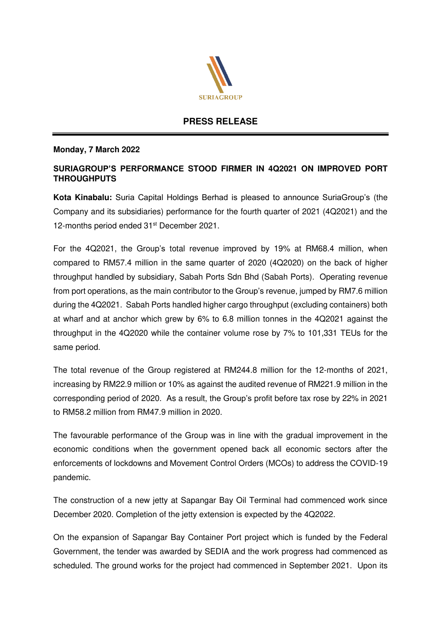

## **PRESS RELEASE**

## **Monday, 7 March 2022**

## **SURIAGROUP'S PERFORMANCE STOOD FIRMER IN 4Q2021 ON IMPROVED PORT THROUGHPUTS**

**Kota Kinabalu:** Suria Capital Holdings Berhad is pleased to announce SuriaGroup's (the Company and its subsidiaries) performance for the fourth quarter of 2021 (4Q2021) and the 12-months period ended 31<sup>st</sup> December 2021.

For the 4Q2021, the Group's total revenue improved by 19% at RM68.4 million, when compared to RM57.4 million in the same quarter of 2020 (4Q2020) on the back of higher throughput handled by subsidiary, Sabah Ports Sdn Bhd (Sabah Ports). Operating revenue from port operations, as the main contributor to the Group's revenue, jumped by RM7.6 million during the 4Q2021. Sabah Ports handled higher cargo throughput (excluding containers) both at wharf and at anchor which grew by 6% to 6.8 million tonnes in the 4Q2021 against the throughput in the 4Q2020 while the container volume rose by 7% to 101,331 TEUs for the same period.

The total revenue of the Group registered at RM244.8 million for the 12-months of 2021, increasing by RM22.9 million or 10% as against the audited revenue of RM221.9 million in the corresponding period of 2020. As a result, the Group's profit before tax rose by 22% in 2021 to RM58.2 million from RM47.9 million in 2020.

The favourable performance of the Group was in line with the gradual improvement in the economic conditions when the government opened back all economic sectors after the enforcements of lockdowns and Movement Control Orders (MCOs) to address the COVID-19 pandemic.

The construction of a new jetty at Sapangar Bay Oil Terminal had commenced work since December 2020. Completion of the jetty extension is expected by the 4Q2022.

On the expansion of Sapangar Bay Container Port project which is funded by the Federal Government, the tender was awarded by SEDIA and the work progress had commenced as scheduled. The ground works for the project had commenced in September 2021. Upon its